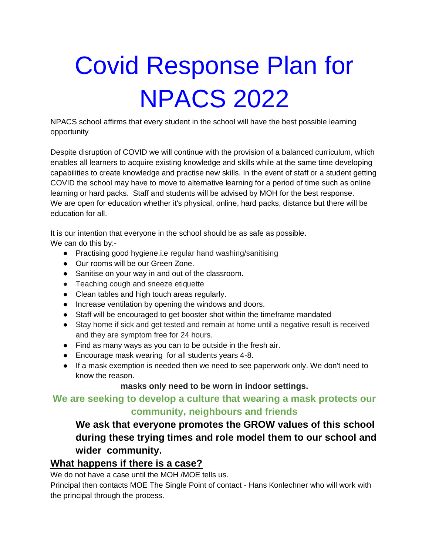# Covid Response Plan for NPACS 2022

NPACS school affirms that every student in the school will have the best possible learning opportunity

Despite disruption of COVID we will continue with the provision of a balanced curriculum, which enables all learners to acquire existing knowledge and skills while at the same time developing capabilities to create knowledge and practise new skills. In the event of staff or a student getting COVID the school may have to move to alternative learning for a period of time such as online learning or hard packs. Staff and students will be advised by MOH for the best response. We are open for education whether it's physical, online, hard packs, distance but there will be education for all.

It is our intention that everyone in the school should be as safe as possible. We can do this by:-

- Practising good hygiene.i.e regular hand washing/sanitising
- Our rooms will be our Green Zone.
- Sanitise on your way in and out of the classroom.
- Teaching cough and sneeze etiquette
- Clean tables and high touch areas regularly.
- Increase ventilation by opening the windows and doors.
- Staff will be encouraged to get booster shot within the timeframe mandated
- Stay home if sick and get tested and remain at home until a negative result is received and they are symptom free for 24 hours.
- Find as many ways as you can to be outside in the fresh air.
- Encourage mask wearing for all students years 4-8.
- If a mask exemption is needed then we need to see paperwork only. We don't need to know the reason.

#### **masks only need to be worn in indoor settings.**

## **We are seeking to develop a culture that wearing a mask protects our community, neighbours and friends**

## **We ask that everyone promotes the GROW values of this school during these trying times and role model them to our school and wider community.**

### **What happens if there is a case?**

We do not have a case until the MOH /MOE tells us.

Principal then contacts MOE The Single Point of contact - Hans Konlechner who will work with the principal through the process.